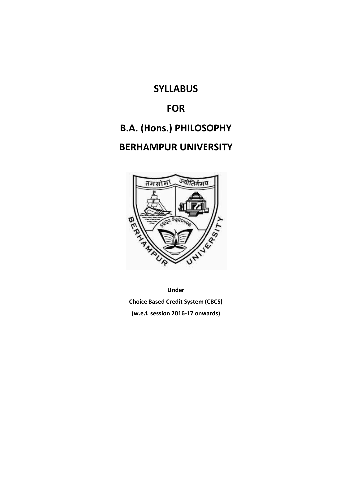# **SYLLABUS**

# **FOR**

# **B.A. (Hons.) PHILOSOPHY**

# **BERHAMPUR UNIVERSITY**



**Under Choice Based Credit System (CBCS) (w.e.f. session 2016-17 onwards)**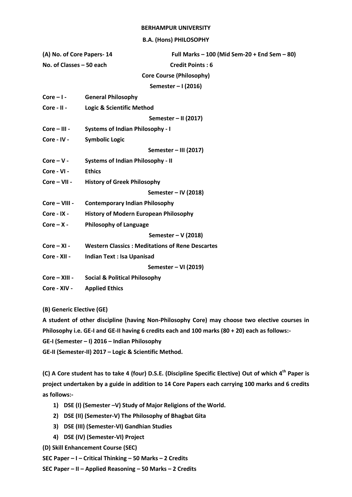#### **BERHAMPUR UNIVERSITY**

#### **B.A. (Hons) PHILOSOPHY**

| (A) No. of Core Papers-14                                | Full Marks $-100$ (Mid Sem-20 + End Sem $-80$ )        |  |  |  |  |  |
|----------------------------------------------------------|--------------------------------------------------------|--|--|--|--|--|
| No. of Classes - 50 each                                 | <b>Credit Points: 6</b>                                |  |  |  |  |  |
|                                                          | <b>Core Course (Philosophy)</b>                        |  |  |  |  |  |
|                                                          | Semester - I (2016)                                    |  |  |  |  |  |
| $Core - 1 -$                                             | <b>General Philosophy</b>                              |  |  |  |  |  |
| Core - II -                                              | <b>Logic &amp; Scientific Method</b>                   |  |  |  |  |  |
|                                                          | Semester - II (2017)                                   |  |  |  |  |  |
| Core - III -                                             | <b>Systems of Indian Philosophy - I</b>                |  |  |  |  |  |
| Core - IV -                                              | <b>Symbolic Logic</b>                                  |  |  |  |  |  |
|                                                          | Semester - III (2017)                                  |  |  |  |  |  |
| <b>Systems of Indian Philosophy - II</b><br>$Core - V -$ |                                                        |  |  |  |  |  |
| Core - VI -                                              | <b>Ethics</b>                                          |  |  |  |  |  |
| Core - VII -                                             | <b>History of Greek Philosophy</b>                     |  |  |  |  |  |
|                                                          | Semester - IV (2018)                                   |  |  |  |  |  |
| Core - VIII -                                            | <b>Contemporary Indian Philosophy</b>                  |  |  |  |  |  |
| Core - IX -                                              | <b>History of Modern European Philosophy</b>           |  |  |  |  |  |
| $Core - X -$                                             | <b>Philosophy of Language</b>                          |  |  |  |  |  |
|                                                          | Semester - V (2018)                                    |  |  |  |  |  |
| $Core - XI -$                                            | <b>Western Classics: Meditations of Rene Descartes</b> |  |  |  |  |  |
| Core - XII -                                             | <b>Indian Text: Isa Upanisad</b>                       |  |  |  |  |  |
| Semester - VI (2019)                                     |                                                        |  |  |  |  |  |
|                                                          | Core - XIII - Social & Political Philosophy            |  |  |  |  |  |
| Core - XIV -                                             | <b>Applied Ethics</b>                                  |  |  |  |  |  |
|                                                          |                                                        |  |  |  |  |  |

**(B) Generic Elective (GE)**

**A student of other discipline (having Non-Philosophy Core) may choose two elective courses in Philosophy i.e. GE-I and GE-II having 6 credits each and 100 marks (80 + 20) each as follows:-**

**GE-I (Semester – I) 2016 – Indian Philosophy**

**GE-II (Semester-II) 2017 – Logic & Scientific Method.**

**(C) A Core student has to take 4 (four) D.S.E. (Discipline Specific Elective) Out of which 4th Paper is project undertaken by a guide in addition to 14 Core Papers each carrying 100 marks and 6 credits as follows:-**

- **1) DSE (I) (Semester –V) Study of Major Religions of the World.**
- **2) DSE (II) (Semester-V) The Philosophy of Bhagbat Gita**
- **3) DSE (III) (Semester-VI) Gandhian Studies**
- **4) DSE (IV) (Semester-VI) Project**

**(D) Skill Enhancement Course (SEC)**

**SEC Paper – I – Critical Thinking – 50 Marks – 2 Credits**

**SEC Paper – II – Applied Reasoning – 50 Marks – 2 Credits**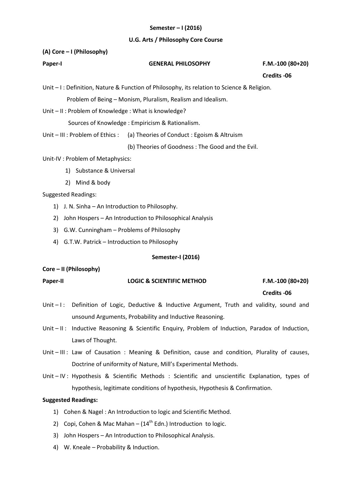## **Semester – I (2016)**

#### **U.G. Arts / Philosophy Core Course**

## **(A) Core – I (Philosophy)**

| Paper-I | <b>GENERAL PHILOSOPHY</b> | $F.M.-100(80+20)$ |
|---------|---------------------------|-------------------|
|         |                           |                   |

 **Credits -06**

Unit – I : Definition, Nature & Function of Philosophy, its relation to Science & Religion.

Problem of Being – Monism, Pluralism, Realism and Idealism.

Unit – II : Problem of Knowledge : What is knowledge?

Sources of Knowledge : Empiricism & Rationalism.

Unit – III : Problem of Ethics : (a) Theories of Conduct : Egoism & Altruism

(b) Theories of Goodness : The Good and the Evil.

Unit-IV : Problem of Metaphysics:

- 1) Substance & Universal
- 2) Mind & body

Suggested Readings:

- 1) J. N. Sinha An Introduction to Philosophy.
- 2) John Hospers An Introduction to Philosophical Analysis
- 3) G.W. Cunningham Problems of Philosophy
- 4) G.T.W. Patrick Introduction to Philosophy

#### **Semester-I (2016)**

# **Core – II (Philosophy)**

| <b>Paper-II</b> | <b>LOGIC &amp; SCIENTIFIC METHOD</b> | $F.M.-100(80+20)$ |
|-----------------|--------------------------------------|-------------------|

 **Credits -06**

- Unit I: Definition of Logic, Deductive & Inductive Argument, Truth and validity, sound and unsound Arguments, Probability and Inductive Reasoning.
- Unit II: Inductive Reasoning & Scientific Enquiry, Problem of Induction, Paradox of Induction, Laws of Thought.
- Unit III : Law of Causation : Meaning & Definition, cause and condition, Plurality of causes, Doctrine of uniformity of Nature, Mill's Experimental Methods.
- Unit IV : Hypothesis & Scientific Methods : Scientific and unscientific Explanation, types of hypothesis, legitimate conditions of hypothesis, Hypothesis & Confirmation.

- 1) Cohen & Nagel : An Introduction to logic and Scientific Method.
- 2) Copi, Cohen & Mac Mahan  $(14<sup>th</sup>$  Edn.) Introduction to logic.
- 3) John Hospers An Introduction to Philosophical Analysis.
- 4) W. Kneale Probability & Induction.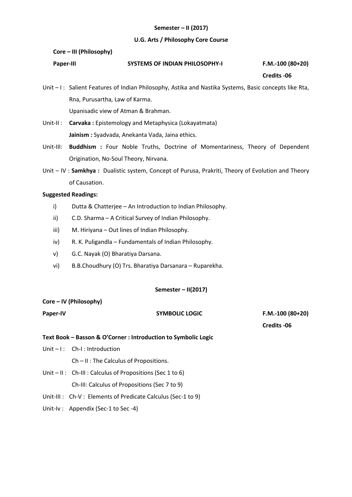## **Semester – II (2017)**

#### **U.G. Arts / Philosophy Core Course**

#### **Core – III (Philosophy)**

| <b>Paper-III</b> | <b>SYSTEMS OF INDIAN PHILOSOPHY-I</b> | F.M.-100 (80+20) |
|------------------|---------------------------------------|------------------|
|                  |                                       |                  |

 **Credits -06**

Unit – I: Salient Features of Indian Philosophy, Astika and Nastika Systems, Basic concepts like Rta, Rna, Purusartha, Law of Karma. Upanisadic view of Atman & Brahman.

- Unit-II : **Carvaka :** Epistemology and Metaphysica (Lokayatmata) **Jainism :** Syadvada, Anekanta Vada, Jaina ethics.
- Unit-III: **Buddhism :** Four Noble Truths, Doctrine of Momentariness, Theory of Dependent Origination, No-Soul Theory, Nirvana.
- Unit IV : **Samkhya :** Dualistic system, Concept of Purusa, Prakriti, Theory of Evolution and Theory of Causation.

#### **Suggested Readings:**

- i) Dutta & Chatterjee An Introduction to Indian Philosophy.
- ii) C.D. Sharma A Critical Survey of Indian Philosophy.
- iii) M. Hiriyana Out lines of Indian Philosophy.
- iv) R. K. Puligandla Fundamentals of Indian Philosophy.
- v) G.C. Nayak (O) Bharatiya Darsana.
- vi) B.B.Choudhury (O) Trs. Bharatiya Darsanara Ruparekha.

# **Semester – II(2017)**

#### **Core – IV (Philosophy)**

# Paper-IV **Contract Contract COVID-SYMBOLIC LOGIC F.M.-100 (80+20)**

 **Credits -06**

# **Text Book – Basson & O'Corner : Introduction to Symbolic Logic**

- Unit I: Ch-I: Introduction
	- Ch II : The Calculus of Propositions.
- Unit II : Ch-III : Calculus of Propositions (Sec 1 to 6) Ch-III: Calculus of Propositions (Sec 7 to 9)
- Unit-III : Ch-V : Elements of Predicate Calculus (Sec-1 to 9)
- Unit-Iv : Appendix (Sec-1 to Sec -4)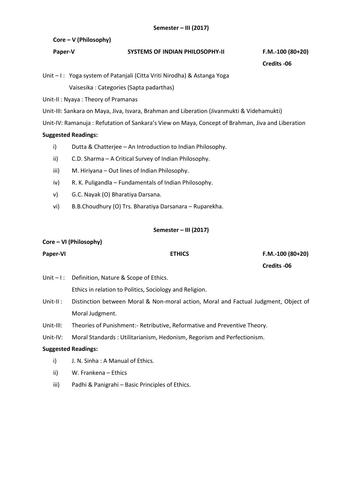# **Core – V (Philosophy)**

| Paper-V | <b>SYSTEMS OF INDIAN PHILOSOPHY-II</b> | F.M.-100 (80+20) |
|---------|----------------------------------------|------------------|
|         |                                        |                  |

 **Credits -06**

Unit – I: Yoga system of Patanjali (Citta Vriti Nirodha) & Astanga Yoga Vaisesika : Categories (Sapta padarthas)

Unit-II : Nyaya : Theory of Pramanas

Unit-III: Sankara on Maya, Jiva, Isvara, Brahman and Liberation (Jivanmukti & Videhamukti)

Unit-IV: Ramanuja : Refutation of Sankara's View on Maya, Concept of Brahman, Jiva and Liberation

# **Suggested Readings:**

- i) Dutta & Chatterjee An Introduction to Indian Philosophy.
- ii) C.D. Sharma A Critical Survey of Indian Philosophy.
- iii) M. Hiriyana Out lines of Indian Philosophy.
- iv) R. K. Puligandla Fundamentals of Indian Philosophy.
- v) G.C. Nayak (O) Bharatiya Darsana.
- vi) B.B.Choudhury (O) Trs. Bharatiya Darsanara Ruparekha.

# **Semester – III (2017)**

# **Core – VI (Philosophy) Paper-VI ETHICS F.M.-100 (80+20) Credits -06** Unit – I: Definition, Nature & Scope of Ethics. Ethics in relation to Politics, Sociology and Religion. Unit-II : Distinction between Moral & Non-moral action, Moral and Factual Judgment, Object of Moral Judgment. Unit-III: Theories of Punishment:- Retributive, Reformative and Preventive Theory. Unit-IV: Moral Standards : Utilitarianism, Hedonism, Regorism and Perfectionism. **Suggested Readings:** i) J. N. Sinha : A Manual of Ethics. ii) W. Frankena – Ethics iii) Padhi & Panigrahi – Basic Principles of Ethics.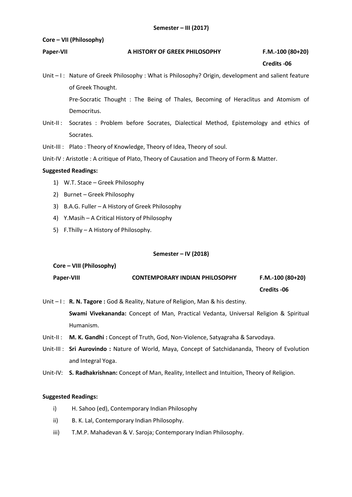# **Core – VII (Philosophy)**

# **Paper-VII A HISTORY OF GREEK PHILOSOPHY F.M.-100 (80+20)**

 **Credits -06**

Unit – I: Nature of Greek Philosophy : What is Philosophy? Origin, development and salient feature of Greek Thought.

> Pre-Socratic Thought : The Being of Thales, Becoming of Heraclitus and Atomism of Democritus.

- Unit-II : Socrates : Problem before Socrates, Dialectical Method, Epistemology and ethics of Socrates.
- Unit-III : Plato : Theory of Knowledge, Theory of Idea, Theory of soul.
- Unit-IV : Aristotle : A critique of Plato, Theory of Causation and Theory of Form & Matter.

# **Suggested Readings:**

- 1) W.T. Stace Greek Philosophy
- 2) Burnet Greek Philosophy
- 3) B.A.G. Fuller A History of Greek Philosophy
- 4) Y.Masih A Critical History of Philosophy
- 5) F.Thilly A History of Philosophy.

# **Semester – IV (2018)**

# **Core – VIII (Philosophy) Paper-VIII CONTEMPORARY INDIAN PHILOSOPHY F.M.-100 (80+20) Credits -06**

Unit – I: **R. N. Tagore:** God & Reality, Nature of Religion, Man & his destiny.

**Swami Vivekananda:** Concept of Man, Practical Vedanta, Universal Religion & Spiritual Humanism.

- Unit-II : **M. K. Gandhi :** Concept of Truth, God, Non-Violence, Satyagraha & Sarvodaya.
- Unit-III : **Sri Aurovindo :** Nature of World, Maya, Concept of Satchidananda, Theory of Evolution and Integral Yoga.
- Unit-IV: **S. Radhakrishnan:** Concept of Man, Reality, Intellect and Intuition, Theory of Religion.

- i) H. Sahoo (ed), Contemporary Indian Philosophy
- ii) B. K. Lal, Contemporary Indian Philosophy.
- iii) T.M.P. Mahadevan & V. Saroja; Contemporary Indian Philosophy.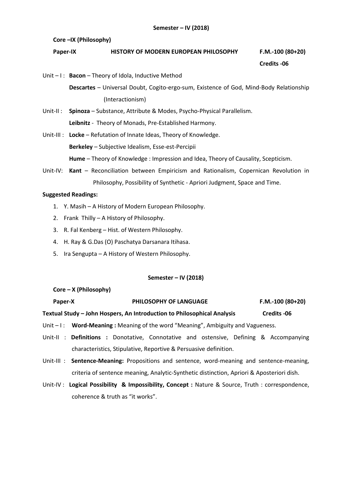**Core –IX (Philosophy)** 

# **Paper-IX HISTORY OF MODERN EUROPEAN PHILOSOPHY F.M.-100 (80+20)**

# **Credits -06**

Unit – I : **Bacon** – Theory of Idola, Inductive Method

**Descartes** – Universal Doubt, Cogito-ergo-sum, Existence of God, Mind-Body Relationship (Interactionism)

- Unit-II : **Spinoza** Substance, Attribute & Modes, Psycho-Physical Parallelism. **Leibnitz** - Theory of Monads, Pre-Established Harmony.
- Unit-III : **Locke** Refutation of Innate Ideas, Theory of Knowledge. **Berkeley** – Subjective Idealism, Esse-est-Percipii **Hume** – Theory of Knowledge : Impression and Idea, Theory of Causality, Scepticism.
- Unit-IV: **Kant** Reconciliation between Empiricism and Rationalism, Copernican Revolution in Philosophy, Possibility of Synthetic - Apriori Judgment, Space and Time.

# **Suggested Readings:**

- 1. Y. Masih A History of Modern European Philosophy.
- 2. Frank Thilly A History of Philosophy.
- 3. R. Fal Kenberg Hist. of Western Philosophy.
- 4. H. Ray & G.Das (O) Paschatya Darsanara Itihasa.
- 5. Ira Sengupta A History of Western Philosophy.

# **Semester – IV (2018)**

**Core – X (Philosophy)** 

**Paper-X PHILOSOPHY OF LANGUAGE F.M.-100 (80+20)**

# **Textual Study – John Hospers, An Introduction to Philosophical Analysis Credits -06**

- Unit I : **Word-Meaning :** Meaning of the word "Meaning", Ambiguity and Vagueness.
- Unit-II : **Definitions :** Donotative, Connotative and ostensive, Defining & Accompanying characteristics, Stipulative, Reportive & Persuasive definition.
- Unit-III : **Sentence-Meaning:** Propositions and sentence, word-meaning and sentence-meaning, criteria of sentence meaning, Analytic-Synthetic distinction, Apriori & Aposteriori dish.
- Unit-IV : **Logical Possibility & Impossibility, Concept :** Nature & Source, Truth : correspondence, coherence & truth as "it works".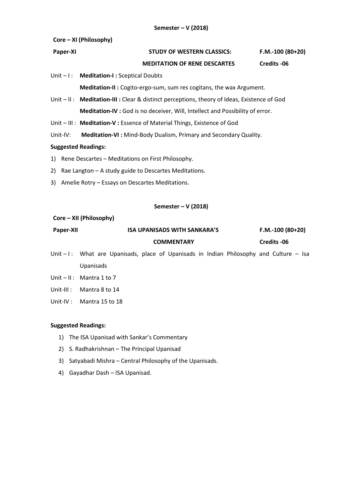# **Core – XI (Philosophy)**

# **Paper-XI STUDY OF WESTERN CLASSICS: F.M.-100 (80+20)**

# **MEDITATION OF RENE DESCARTES Credits -06**

Unit – I : **Meditation-I :** Sceptical Doubts

**Meditation-II :** Cogito-ergo-sum, sum res cogitans, the wax Argument.

Unit – II : **Meditation-III :** Clear & distinct perceptions, theory of Ideas, Existence of God **Meditation-IV :** God is no deceiver, Will, Intellect and Possibility of error.

Unit – III : **Meditation-V :** Essence of Material Things, Existence of God

Unit-IV: **Meditation-VI :** Mind-Body Dualism, Primary and Secondary Quality.

# **Suggested Readings:**

- 1) Rene Descartes Meditations on First Philosophy.
- 2) Rae Langton A study guide to Descartes Meditations.
- 3) Amelie Rotry Essays on Descartes Meditations.

# **Semester – V (2018)**

#### **Core – XII (Philosophy)**

| Paper-XII |  | ISA UPANISADS WITH SANKARA'S |  |  |  | $F.M.-100(80+20)$ |  |  |                                                                        |       |
|-----------|--|------------------------------|--|--|--|-------------------|--|--|------------------------------------------------------------------------|-------|
|           |  |                              |  |  |  | <b>COMMENTARY</b> |  |  | Credits -06                                                            |       |
| العالما   |  |                              |  |  |  |                   |  |  | What are Unanisade place of Unanisade in Indian Dhilosophy and Culture | ۔ ۔ ا |

Unit  $-1$ : What are Upanisads, place of Upanisads in Indian Philosophy and Culture  $-$  Isa Upanisads

Unit – II : Mantra 1 to 7

Unit-III : Mantra 8 to 14

Unit-IV : Mantra 15 to 18

- 1) The ISA Upanisad with Sankar's Commentary
- 2) S. Radhakrishnan The Principal Upanisad
- 3) Satyabadi Mishra Central Philosophy of the Upanisads.
- 4) Gayadhar Dash ISA Upanisad.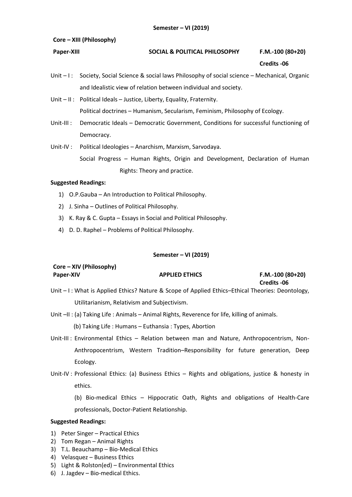# **Core – XIII (Philosophy)**

# **Paper-XIII SOCIAL & POLITICAL PHILOSOPHY F.M.-100 (80+20)**

 **Credits -06**

 **Credits -06**

Unit – I: Society, Social Science & social laws Philosophy of social science – Mechanical, Organic and Idealistic view of relation between individual and society.

Unit – II : Political Ideals – Justice, Liberty, Equality, Fraternity. Political doctrines – Humanism, Secularism, Feminism, Philosophy of Ecology.

- Unit-III : Democratic Ideals Democratic Government, Conditions for successful functioning of Democracy.
- Unit-IV : Political Ideologies Anarchism, Marxism, Sarvodaya. Social Progress – Human Rights, Origin and Development, Declaration of Human Rights: Theory and practice.

# **Suggested Readings:**

- 1) O.P.Gauba An Introduction to Political Philosophy.
- 2) J. Sinha Outlines of Political Philosophy.
- 3) K. Ray & C. Gupta Essays in Social and Political Philosophy.
- 4) D. D. Raphel Problems of Political Philosophy.

# **Semester – VI (2019)**

| Core – XIV (Philosophy) |                       |                  |
|-------------------------|-----------------------|------------------|
| <b>Paper-XIV</b>        | <b>APPLIED ETHICS</b> | F.M.-100 (80+20) |

- Unit I: What is Applied Ethics? Nature & Scope of Applied Ethics–Ethical Theories: Deontology, Utilitarianism, Relativism and Subjectivism.
- Unit –II : (a) Taking Life : Animals Animal Rights, Reverence for life, killing of animals.
	- (b) Taking Life : Humans Euthansia : Types, Abortion
- Unit-III : Environmental Ethics Relation between man and Nature, Anthropocentrism, Non-Anthropocentrism, Western Tradition–Responsibility for future generation, Deep Ecology.
- Unit-IV : Professional Ethics: (a) Business Ethics Rights and obligations, justice & honesty in ethics.

(b) Bio-medical Ethics – Hippocratic Oath, Rights and obligations of Health-Care professionals, Doctor-Patient Relationship.

- 1) Peter Singer Practical Ethics
- 2) Tom Regan Animal Rights
- 3) T.L. Beauchamp Bio-Medical Ethics
- 4) Velasquez Business Ethics
- 5) Light & Rolston(ed) Environmental Ethics
- 6) J. Jagdev Bio-medical Ethics.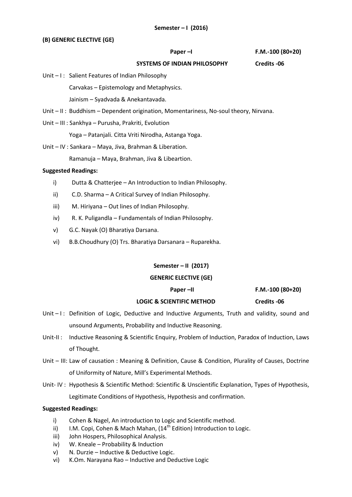# **(B) GENERIC ELECTIVE (GE)**

**Paper –I F.M.-100 (80+20)**

#### **SYSTEMS OF INDIAN PHILOSOPHY Credits -06**

Unit – I: Salient Features of Indian Philosophy

Carvakas – Epistemology and Metaphysics.

Jainism – Syadvada & Anekantavada.

- Unit II : Buddhism Dependent origination, Momentariness, No-soul theory, Nirvana.
- Unit III : Sankhya Purusha, Prakriti, Evolution

Yoga – Patanjali. Citta Vriti Nirodha, Astanga Yoga.

Unit – IV : Sankara – Maya, Jiva, Brahman & Liberation.

Ramanuja – Maya, Brahman, Jiva & Libeartion.

# **Suggested Readings:**

- i) Dutta & Chatterjee An Introduction to Indian Philosophy.
- ii) C.D. Sharma A Critical Survey of Indian Philosophy.
- iii) M. Hiriyana Out lines of Indian Philosophy.
- iv) R. K. Puligandla Fundamentals of Indian Philosophy.
- v) G.C. Nayak (O) Bharatiya Darsana.
- vi) B.B.Choudhury (O) Trs. Bharatiya Darsanara Ruparekha.

# **Semester – II (2017)**

# **GENERIC ELECTIVE (GE)**

**Paper –II F.M.-100 (80+20)**

# **LOGIC & SCIENTIFIC METHOD Credits -06**

Unit – I: Definition of Logic, Deductive and Inductive Arguments, Truth and validity, sound and

- Unit-II : Inductive Reasoning & Scientific Enquiry, Problem of Induction, Paradox of Induction, Laws of Thought.
- Unit III: Law of causation : Meaning & Definition, Cause & Condition, Plurality of Causes, Doctrine of Uniformity of Nature, Mill's Experimental Methods.
- Unit- IV : Hypothesis & Scientific Method: Scientific & Unscientific Explanation, Types of Hypothesis, Legitimate Conditions of Hypothesis, Hypothesis and confirmation.

# **Suggested Readings:**

i) Cohen & Nagel, An introduction to Logic and Scientific method.

unsound Arguments, Probability and Inductive Reasoning.

- ii) I.M. Copi, Cohen & Mach Mahan,  $(14<sup>th</sup>$  Edition) Introduction to Logic.
- iii) John Hospers, Philosophical Analysis.
- iv) W. Kneale Probability & Induction
- v) N. Durzie Inductive & Deductive Logic.
- vi) K.Om. Narayana Rao Inductive and Deductive Logic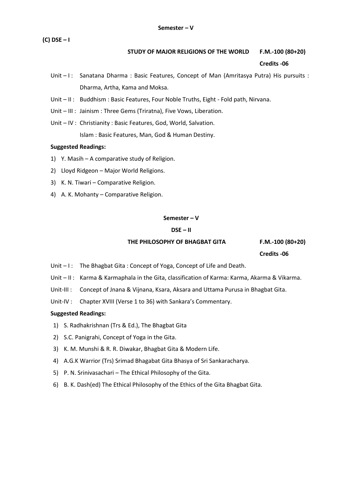**(C) DSE – I**

# **STUDY OF MAJOR RELIGIONS OF THE WORLD F.M.-100 (80+20)**

#### **Credits -06**

- Unit I: Sanatana Dharma : Basic Features, Concept of Man (Amritasya Putra) His pursuits : Dharma, Artha, Kama and Moksa.
- Unit II : Buddhism : Basic Features, Four Noble Truths, Eight Fold path, Nirvana.
- Unit III : Jainism : Three Gems (Triratna), Five Vows, Liberation.
- Unit IV : Christianity : Basic Features, God, World, Salvation. Islam : Basic Features, Man, God & Human Destiny.

# **Suggested Readings:**

- 1) Y. Masih A comparative study of Religion.
- 2) Lloyd Ridgeon Major World Religions.
- 3) K. N. Tiwari Comparative Religion.
- 4) A. K. Mohanty Comparative Religion.

# **Semester – V**

# **DSE – II**

# THE PHILOSOPHY OF BHAGBAT GITA **F.M.-100** (80+20)

 **Credits -06**

- Unit I: The Bhagbat Gita: Concept of Yoga, Concept of Life and Death.
- Unit II : Karma & Karmaphala in the Gita, classification of Karma: Karma, Akarma & Vikarma.
- Unit-III : Concept of Jnana & Vijnana, Ksara, Aksara and Uttama Purusa in Bhagbat Gita.
- Unit-IV : Chapter XVIII (Verse 1 to 36) with Sankara's Commentary.

- 1) S. Radhakrishnan (Trs & Ed.), The Bhagbat Gita
- 2) S.C. Panigrahi, Concept of Yoga in the Gita.
- 3) K. M. Munshi & R. R. Diwakar, Bhagbat Gita & Modern Life.
- 4) A.G.K Warrior (Trs) Srimad Bhagabat Gita Bhasya of Sri Sankaracharya.
- 5) P. N. Srinivasachari The Ethical Philosophy of the Gita.
- 6) B. K. Dash(ed) The Ethical Philosophy of the Ethics of the Gita Bhagbat Gita.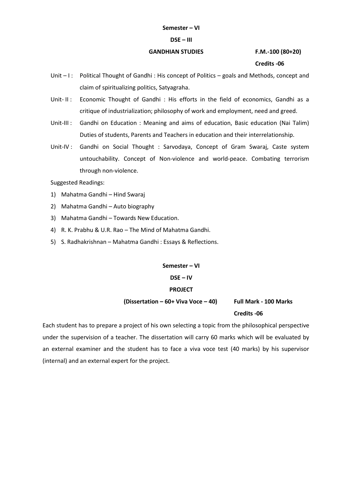#### **DSE – III**

# **GANDHIAN STUDIES F.M.-100 (80+20)**

 **Credits -06**

- Unit  $-1$ : Political Thought of Gandhi : His concept of Politics goals and Methods, concept and claim of spiritualizing politics, Satyagraha.
- Unit- II: Economic Thought of Gandhi: His efforts in the field of economics, Gandhi as a critique of industrialization; philosophy of work and employment, need and greed.
- Unit-III : Gandhi on Education : Meaning and aims of education, Basic education (Nai Talim) Duties of students, Parents and Teachers in education and their interrelationship.
- Unit-IV : Gandhi on Social Thought : Sarvodaya, Concept of Gram Swaraj, Caste system untouchability. Concept of Non-violence and world-peace. Combating terrorism through non-violence.

Suggested Readings:

- 1) Mahatma Gandhi Hind Swaraj
- 2) Mahatma Gandhi Auto biography
- 3) Mahatma Gandhi Towards New Education.
- 4) R. K. Prabhu & U.R. Rao The Mind of Mahatma Gandhi.
- 5) S. Radhakrishnan Mahatma Gandhi : Essays & Reflections.

**Semester – VI DSE – IV**

# **PROJECT**

 **(Dissertation – 60+ Viva Voce – 40) Full Mark - 100 Marks**

#### **Credits -06**

Each student has to prepare a project of his own selecting a topic from the philosophical perspective under the supervision of a teacher. The dissertation will carry 60 marks which will be evaluated by an external examiner and the student has to face a viva voce test (40 marks) by his supervisor (internal) and an external expert for the project.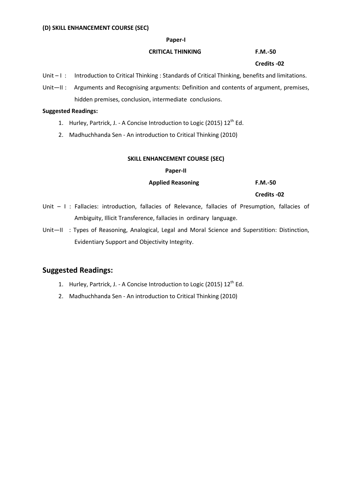#### **Paper-I**

# **CRITICAL THINKING F.M.-50**

#### **Credits -02**

- Unit I: Introduction to Critical Thinking : Standards of Critical Thinking, benefits and limitations.
- Unit—II: Arguments and Recognising arguments: Definition and contents of argument, premises, hidden premises, conclusion, intermediate conclusions.

### **Suggested Readings:**

- 1. Hurley, Partrick, J. A Concise Introduction to Logic (2015)  $12^{th}$  Ed.
- 2. Madhuchhanda Sen An introduction to Critical Thinking (2010)

# **SKILL ENHANCEMENT COURSE (SEC)**

# **Paper-II**

#### **Applied Reasoning F.M.-50**

 **Credits -02**

- Unit I : Fallacies: introduction, fallacies of Relevance, fallacies of Presumption, fallacies of Ambiguity, Illicit Transference, fallacies in ordinary language.
- Unit—II : Types of Reasoning, Analogical, Legal and Moral Science and Superstition: Distinction, Evidentiary Support and Objectivity Integrity.

- 1. Hurley, Partrick, J. A Concise Introduction to Logic (2015) 12<sup>th</sup> Ed.
- 2. Madhuchhanda Sen An introduction to Critical Thinking (2010)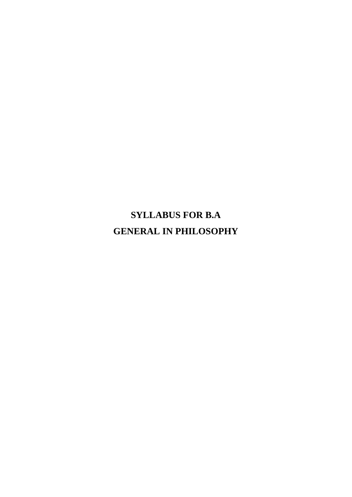**SYLLABUS FOR B.A GENERAL IN PHILOSOPHY**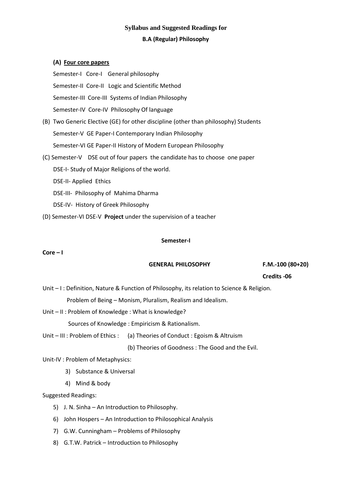# **Syllabus and Suggested Readings for B.A (Regular) Philosophy**

# **(A) Four core papers**

Semester-I Core-I General philosophy Semester-II Core-II Logic and Scientific Method Semester-III Core-III Systems of Indian Philosophy Semester-IV Core-IV Philosophy Of language

- (B) Two Generic Elective (GE) for other discipline (other than philosophy) Students Semester-V GE Paper-I Contemporary Indian Philosophy Semester-VI GE Paper-II History of Modern European Philosophy
- (C) Semester-V DSE out of four papers the candidate has to choose one paper

DSE-I- Study of Major Religions of the world.

- DSE-II- Applied Ethics
- DSE-III- Philosophy of Mahima Dharma
- DSE-IV- History of Greek Philosophy
- (D) Semester-VI DSE-V **Project** under the supervision of a teacher

#### **Semester-I**

# $Core - I$

# **GENERAL PHILOSOPHY F.M.-100 (80+20)**

 **Credits -06**

- Unit I : Definition, Nature & Function of Philosophy, its relation to Science & Religion. Problem of Being – Monism, Pluralism, Realism and Idealism.
- Unit II : Problem of Knowledge : What is knowledge?

Sources of Knowledge : Empiricism & Rationalism.

Unit – III : Problem of Ethics : (a) Theories of Conduct : Egoism & Altruism

(b) Theories of Goodness : The Good and the Evil.

Unit-IV : Problem of Metaphysics:

- 3) Substance & Universal
- 4) Mind & body

- 5) J. N. Sinha An Introduction to Philosophy.
- 6) John Hospers An Introduction to Philosophical Analysis
- 7) G.W. Cunningham Problems of Philosophy
- 8) G.T.W. Patrick Introduction to Philosophy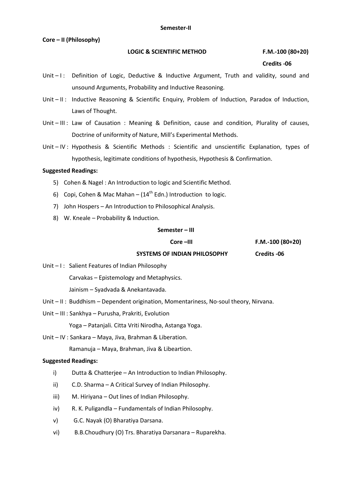#### **Semester-II**

#### **Core – II (Philosophy)**

### LOGIC & SCIENTIFIC METHOD **F.M.-100 (80+20)**

#### **Credits -06**

- Unit  $-1$ : Definition of Logic, Deductive & Inductive Argument, Truth and validity, sound and unsound Arguments, Probability and Inductive Reasoning.
- Unit II: Inductive Reasoning & Scientific Enquiry, Problem of Induction, Paradox of Induction, Laws of Thought.
- Unit III : Law of Causation : Meaning & Definition, cause and condition, Plurality of causes, Doctrine of uniformity of Nature, Mill's Experimental Methods.
- Unit IV : Hypothesis & Scientific Methods : Scientific and unscientific Explanation, types of hypothesis, legitimate conditions of hypothesis, Hypothesis & Confirmation.

# **Suggested Readings:**

- 5) Cohen & Nagel : An Introduction to logic and Scientific Method.
- 6) Copi, Cohen & Mac Mahan  $(14^{th}$  Edn.) Introduction to logic.
- 7) John Hospers An Introduction to Philosophical Analysis.
- 8) W. Kneale Probability & Induction.

#### **Semester – III**

**Core –III F.M.-100 (80+20)**

# **SYSTEMS OF INDIAN PHILOSOPHY Credits -06**

Unit – I: Salient Features of Indian Philosophy

Carvakas – Epistemology and Metaphysics.

Jainism – Syadvada & Anekantavada.

- Unit II : Buddhism Dependent origination, Momentariness, No-soul theory, Nirvana.
- Unit III : Sankhya Purusha, Prakriti, Evolution

Yoga – Patanjali. Citta Vriti Nirodha, Astanga Yoga.

Unit – IV : Sankara – Maya, Jiva, Brahman & Liberation.

Ramanuja – Maya, Brahman, Jiva & Libeartion.

- i) Dutta & Chatterjee An Introduction to Indian Philosophy.
- ii) C.D. Sharma A Critical Survey of Indian Philosophy.
- iii) M. Hiriyana Out lines of Indian Philosophy.
- iv) R. K. Puligandla Fundamentals of Indian Philosophy.
- v) G.C. Nayak (O) Bharatiya Darsana.
- vi) B.B.Choudhury (O) Trs. Bharatiya Darsanara Ruparekha.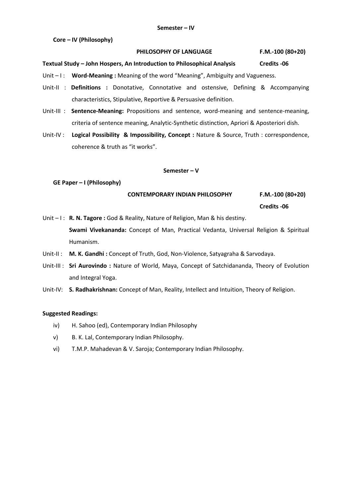**Core – IV (Philosophy)** 

#### **PHILOSOPHY OF LANGUAGE F.M.-100 (80+20)**

#### **Textual Study – John Hospers, An Introduction to Philosophical Analysis Credits -06**

Unit – I: **Word-Meaning** : Meaning of the word "Meaning", Ambiguity and Vagueness.

- Unit-II : **Definitions :** Donotative, Connotative and ostensive, Defining & Accompanying characteristics, Stipulative, Reportive & Persuasive definition.
- Unit-III : **Sentence-Meaning:** Propositions and sentence, word-meaning and sentence-meaning, criteria of sentence meaning, Analytic-Synthetic distinction, Apriori & Aposteriori dish.
- Unit-IV : **Logical Possibility & Impossibility, Concept :** Nature & Source, Truth : correspondence, coherence & truth as "it works".

#### **Semester – V**

#### **GE Paper – I (Philosophy)**

 **CONTEMPORARY INDIAN PHILOSOPHY F.M.-100 (80+20)**

 **Credits -06**

Unit – I: **R. N. Tagore :** God & Reality, Nature of Religion, Man & his destiny. **Swami Vivekananda:** Concept of Man, Practical Vedanta, Universal Religion & Spiritual Humanism.

- Unit-II : **M. K. Gandhi :** Concept of Truth, God, Non-Violence, Satyagraha & Sarvodaya.
- Unit-III : **Sri Aurovindo :** Nature of World, Maya, Concept of Satchidananda, Theory of Evolution and Integral Yoga.
- Unit-IV: **S. Radhakrishnan:** Concept of Man, Reality, Intellect and Intuition, Theory of Religion.

- iv) H. Sahoo (ed), Contemporary Indian Philosophy
- v) B. K. Lal, Contemporary Indian Philosophy.
- vi) T.M.P. Mahadevan & V. Saroja; Contemporary Indian Philosophy.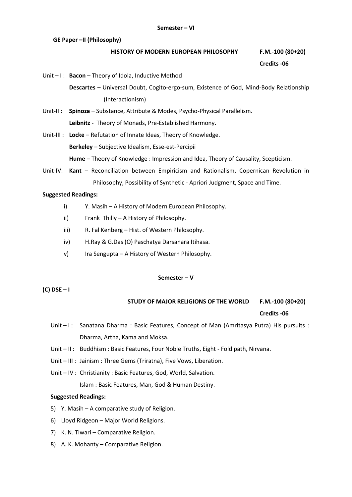**GE Paper –II (Philosophy)** 

#### **HISTORY OF MODERN EUROPEAN PHILOSOPHY F.M.-100 (80+20)**

 **Credits -06**

Unit – I : **Bacon** – Theory of Idola, Inductive Method

**Descartes** – Universal Doubt, Cogito-ergo-sum, Existence of God, Mind-Body Relationship (Interactionism)

- Unit-II : **Spinoza** Substance, Attribute & Modes, Psycho-Physical Parallelism. **Leibnitz** - Theory of Monads, Pre-Established Harmony.
- Unit-III : **Locke** Refutation of Innate Ideas, Theory of Knowledge. **Berkeley** – Subjective Idealism, Esse-est-Percipii **Hume** – Theory of Knowledge : Impression and Idea, Theory of Causality, Scepticism.
- Unit-IV: **Kant** Reconciliation between Empiricism and Rationalism, Copernican Revolution in Philosophy, Possibility of Synthetic - Apriori Judgment, Space and Time.

# **Suggested Readings:**

- i) Y. Masih A History of Modern European Philosophy.
- ii) Frank Thilly A History of Philosophy.
- iii) R. Fal Kenberg Hist. of Western Philosophy.
- iv) H.Ray & G.Das (O) Paschatya Darsanara Itihasa.
- v) Ira Sengupta A History of Western Philosophy.

#### **Semester – V**

**(C) DSE – I**

# **STUDY OF MAJOR RELIGIONS OF THE WORLD F.M.-100 (80+20)**

#### **Credits -06**

- Unit I: Sanatana Dharma : Basic Features, Concept of Man (Amritasya Putra) His pursuits : Dharma, Artha, Kama and Moksa.
- Unit II : Buddhism : Basic Features, Four Noble Truths, Eight Fold path, Nirvana.
- Unit III : Jainism : Three Gems (Triratna), Five Vows, Liberation.
- Unit IV : Christianity : Basic Features, God, World, Salvation.

Islam : Basic Features, Man, God & Human Destiny.

- 5) Y. Masih A comparative study of Religion.
- 6) Lloyd Ridgeon Major World Religions.
- 7) K. N. Tiwari Comparative Religion.
- 8) A. K. Mohanty Comparative Religion.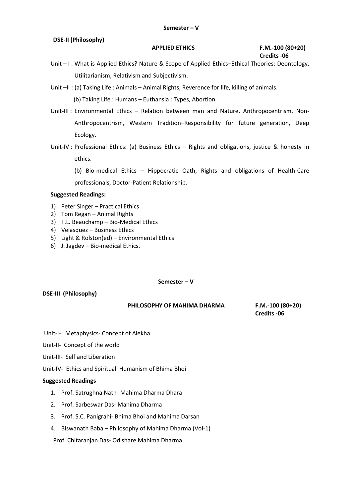# **DSE-II (Philosophy)**

# **APPLIED ETHICS F.M.-100 (80+20) Credits -06**

Unit – I: What is Applied Ethics? Nature & Scope of Applied Ethics–Ethical Theories: Deontology, Utilitarianism, Relativism and Subjectivism.

Unit  $-II$  : (a) Taking Life : Animals – Animal Rights, Reverence for life, killing of animals.

(b) Taking Life : Humans – Euthansia : Types, Abortion

- Unit-III : Environmental Ethics Relation between man and Nature, Anthropocentrism, Non-Anthropocentrism, Western Tradition–Responsibility for future generation, Deep Ecology.
- Unit-IV : Professional Ethics: (a) Business Ethics Rights and obligations, justice & honesty in ethics.

(b) Bio-medical Ethics – Hippocratic Oath, Rights and obligations of Health-Care professionals, Doctor-Patient Relationship.

# **Suggested Readings:**

- 1) Peter Singer Practical Ethics
- 2) Tom Regan Animal Rights
- 3) T.L. Beauchamp Bio-Medical Ethics
- 4) Velasquez Business Ethics
- 5) Light & Rolston(ed) Environmental Ethics
- 6) J. Jagdev Bio-medical Ethics.

#### **Semester – V**

# **DSE-III (Philosophy)**

#### **PHILOSOPHY OF MAHIMA DHARMA F.M.-100 (80+20)**

 **Credits -06**

- Unit-I- Metaphysics- Concept of Alekha
- Unit-II- Concept of the world
- Unit-III- Self and Liberation
- Unit-IV- Ethics and Spiritual Humanism of Bhima Bhoi

#### **Suggested Readings**

- 1. Prof. Satrughna Nath- Mahima Dharma Dhara
- 2. Prof. Sarbeswar Das- Mahima Dharma
- 3. Prof. S.C. Panigrahi- Bhima Bhoi and Mahima Darsan
- 4. Biswanath Baba Philosophy of Mahima Dharma (Vol-1)

Prof. Chitaranjan Das- Odishare Mahima Dharma